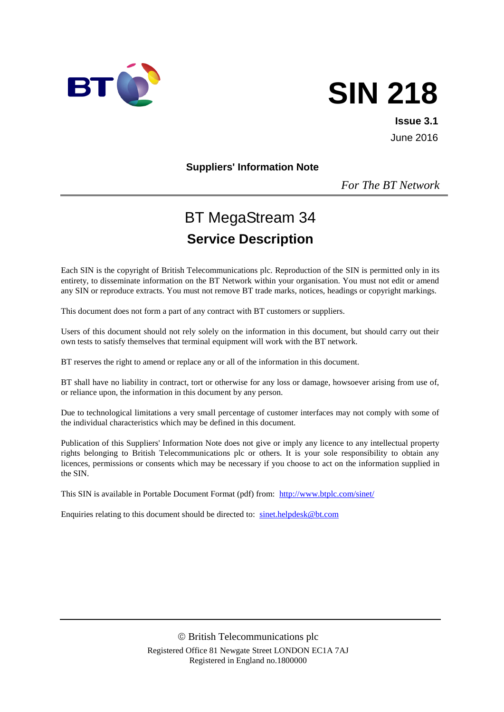

# **SIN 218**

**Issue 3.1** June 2016

**Suppliers' Information Note**

*For The BT Network*

## BT MegaStream 34 **Service Description**

Each SIN is the copyright of British Telecommunications plc. Reproduction of the SIN is permitted only in its entirety, to disseminate information on the BT Network within your organisation. You must not edit or amend any SIN or reproduce extracts. You must not remove BT trade marks, notices, headings or copyright markings.

This document does not form a part of any contract with BT customers or suppliers.

Users of this document should not rely solely on the information in this document, but should carry out their own tests to satisfy themselves that terminal equipment will work with the BT network.

BT reserves the right to amend or replace any or all of the information in this document.

BT shall have no liability in contract, tort or otherwise for any loss or damage, howsoever arising from use of, or reliance upon, the information in this document by any person.

Due to technological limitations a very small percentage of customer interfaces may not comply with some of the individual characteristics which may be defined in this document.

Publication of this Suppliers' Information Note does not give or imply any licence to any intellectual property rights belonging to British Telecommunications plc or others. It is your sole responsibility to obtain any licences, permissions or consents which may be necessary if you choose to act on the information supplied in the SIN.

This SIN is available in Portable Document Format (pdf) from: <http://www.btplc.com/sinet/>

Enquiries relating to this document should be directed to: [sinet.helpdesk@bt.com](mailto:sinet.helpdesk@bt.com)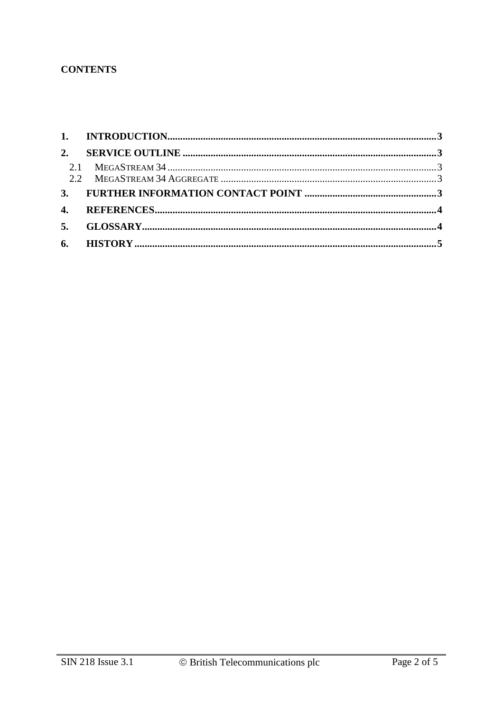#### **CONTENTS**

| 2. |  |
|----|--|
|    |  |
|    |  |
|    |  |
|    |  |
|    |  |
|    |  |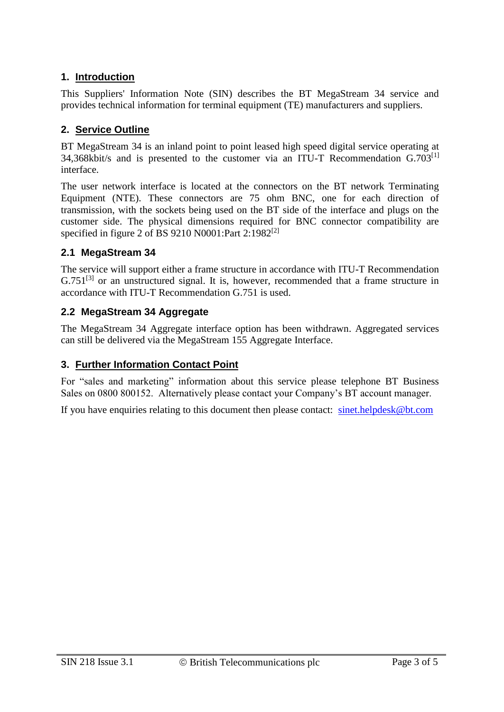#### **1. Introduction**

This Suppliers' Information Note (SIN) describes the BT MegaStream 34 service and provides technical information for terminal equipment (TE) manufacturers and suppliers.

#### **2. Service Outline**

BT MegaStream 34 is an inland point to point leased high speed digital service operating at 34,368kbit/s and is presented to the customer via an ITU-T Recommendation G.703<sup>[1]</sup> interface.

The user network interface is located at the connectors on the BT network Terminating Equipment (NTE). These connectors are 75 ohm BNC, one for each direction of transmission, with the sockets being used on the BT side of the interface and plugs on the customer side. The physical dimensions required for BNC connector compatibility are specified in figure 2 of BS 9210 N0001:Part 2:1982[2]

#### **2.1 MegaStream 34**

The service will support either a frame structure in accordance with ITU-T Recommendation  $G.751^{[3]}$  or an unstructured signal. It is, however, recommended that a frame structure in accordance with ITU-T Recommendation G.751 is used.

#### **2.2 MegaStream 34 Aggregate**

The MegaStream 34 Aggregate interface option has been withdrawn. Aggregated services can still be delivered via the MegaStream 155 Aggregate Interface.

#### **3. Further Information Contact Point**

For "sales and marketing" information about this service please telephone BT Business Sales on 0800 800152. Alternatively please contact your Company's BT account manager.

If you have enquiries relating to this document then please contact:  $\frac{\text{sinet.helpdesk@bt.com}}{\text{smet.helpdesk@bt.com}}$  $\frac{\text{sinet.helpdesk@bt.com}}{\text{smet.helpdesk@bt.com}}$  $\frac{\text{sinet.helpdesk@bt.com}}{\text{smet.helpdesk@bt.com}}$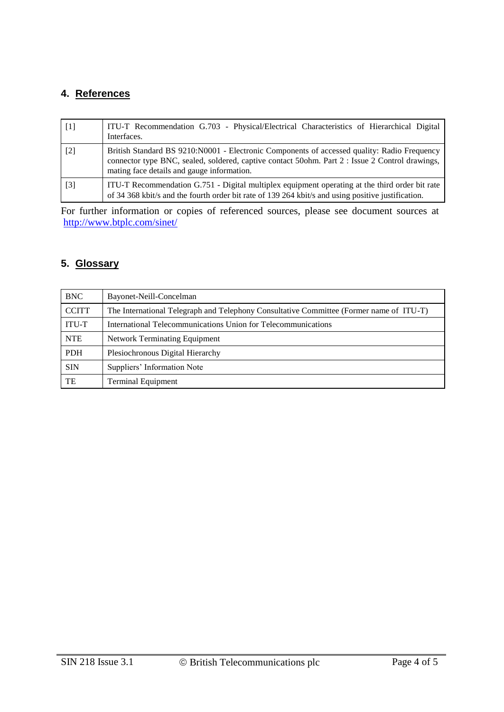#### **4. References**

| $\lceil 1 \rceil$ | ITU-T Recommendation G.703 - Physical/Electrical Characteristics of Hierarchical Digital<br>Interfaces.                                                                                                                                      |
|-------------------|----------------------------------------------------------------------------------------------------------------------------------------------------------------------------------------------------------------------------------------------|
| $\lceil 2 \rceil$ | British Standard BS 9210:N0001 - Electronic Components of accessed quality: Radio Frequency<br>connector type BNC, sealed, soldered, captive contact 50ohm. Part 2 : Issue 2 Control drawings,<br>mating face details and gauge information. |
| $\lceil 3 \rceil$ | ITU-T Recommendation G.751 - Digital multiplex equipment operating at the third order bit rate<br>of 34 368 kbit/s and the fourth order bit rate of 139 264 kbit/s and using positive justification.                                         |

For further information or copies of referenced sources, please see document sources at <http://www.btplc.com/sinet/>

#### **5. Glossary**

| <b>BNC</b>   | Bayonet-Neill-Concelman                                                                 |  |  |
|--------------|-----------------------------------------------------------------------------------------|--|--|
| <b>CCITT</b> | The International Telegraph and Telephony Consultative Committee (Former name of ITU-T) |  |  |
| <b>ITU-T</b> | International Telecommunications Union for Telecommunications                           |  |  |
| <b>NTE</b>   | <b>Network Terminating Equipment</b>                                                    |  |  |
| <b>PDH</b>   | Plesiochronous Digital Hierarchy                                                        |  |  |
| <b>SIN</b>   | Suppliers' Information Note                                                             |  |  |
| TE           | <b>Terminal Equipment</b>                                                               |  |  |